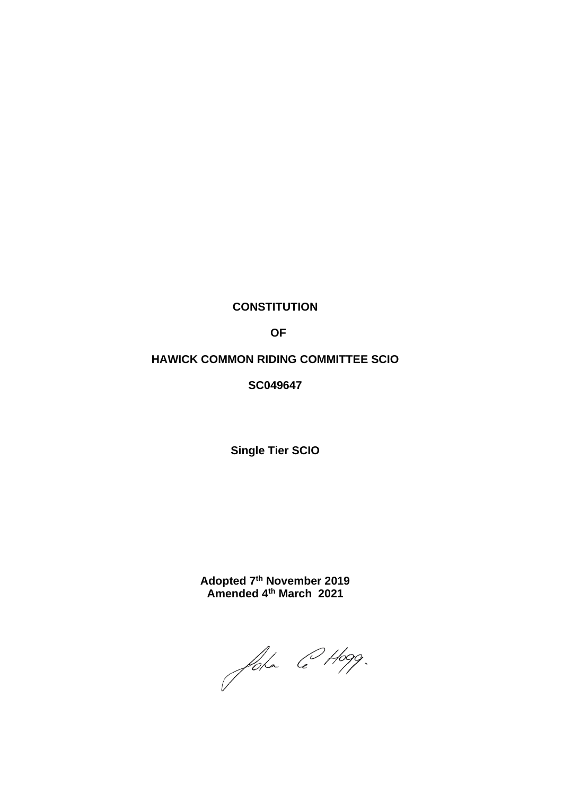# **CONSTITUTION**

 **OF** 

# **HAWICK COMMON RIDING COMMITTEE SCIO**

**SC049647**

**Single Tier SCIO**

**Adopted 7 th November 2019 Amended 4 th March 2021**

John @ Hogg.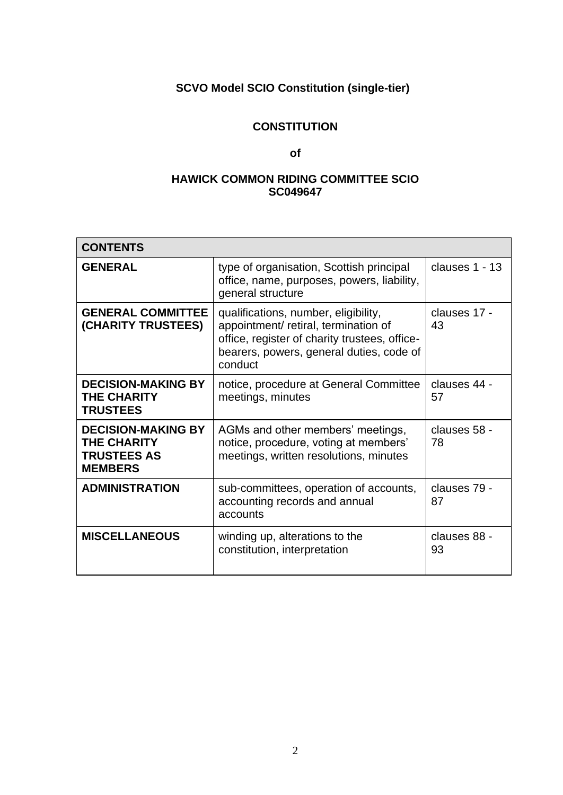# **SCVO Model SCIO Constitution (single-tier)**

# **CONSTITUTION**

# **of**

# **HAWICK COMMON RIDING COMMITTEE SCIO SC049647**

| <b>CONTENTS</b>                                                                  |                                                                                                                                                                                      |                    |
|----------------------------------------------------------------------------------|--------------------------------------------------------------------------------------------------------------------------------------------------------------------------------------|--------------------|
| <b>GENERAL</b>                                                                   | type of organisation, Scottish principal<br>office, name, purposes, powers, liability,<br>general structure                                                                          | clauses 1 - 13     |
| <b>GENERAL COMMITTEE</b><br>(CHARITY TRUSTEES)                                   | qualifications, number, eligibility,<br>appointment/ retiral, termination of<br>office, register of charity trustees, office-<br>bearers, powers, general duties, code of<br>conduct | clauses 17 -<br>43 |
| <b>DECISION-MAKING BY</b><br><b>THE CHARITY</b><br><b>TRUSTEES</b>               | notice, procedure at General Committee<br>meetings, minutes                                                                                                                          | clauses 44 -<br>57 |
| <b>DECISION-MAKING BY</b><br>THE CHARITY<br><b>TRUSTEES AS</b><br><b>MEMBERS</b> | AGMs and other members' meetings,<br>notice, procedure, voting at members'<br>meetings, written resolutions, minutes                                                                 | clauses 58 -<br>78 |
| <b>ADMINISTRATION</b>                                                            | sub-committees, operation of accounts,<br>accounting records and annual<br>accounts                                                                                                  | clauses 79 -<br>87 |
| <b>MISCELLANEOUS</b>                                                             | winding up, alterations to the<br>constitution, interpretation                                                                                                                       | clauses 88 -<br>93 |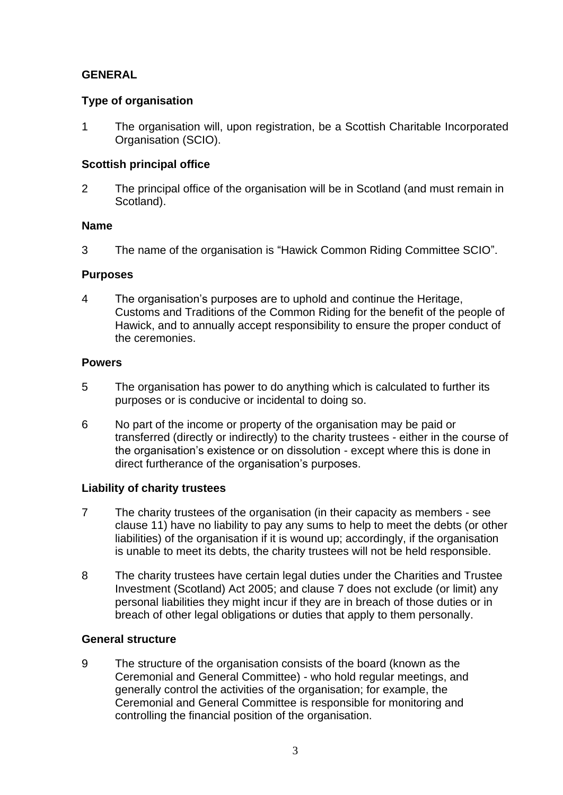# **GENERAL**

# **Type of organisation**

1 The organisation will, upon registration, be a Scottish Charitable Incorporated Organisation (SCIO).

# **Scottish principal office**

2 The principal office of the organisation will be in Scotland (and must remain in Scotland).

# **Name**

3 The name of the organisation is "Hawick Common Riding Committee SCIO".

# **Purposes**

4 The organisation's purposes are to uphold and continue the Heritage, Customs and Traditions of the Common Riding for the benefit of the people of Hawick, and to annually accept responsibility to ensure the proper conduct of the ceremonies.

# **Powers**

- 5 The organisation has power to do anything which is calculated to further its purposes or is conducive or incidental to doing so.
- 6 No part of the income or property of the organisation may be paid or transferred (directly or indirectly) to the charity trustees - either in the course of the organisation's existence or on dissolution - except where this is done in direct furtherance of the organisation's purposes.

# **Liability of charity trustees**

- 7 The charity trustees of the organisation (in their capacity as members see clause 11) have no liability to pay any sums to help to meet the debts (or other liabilities) of the organisation if it is wound up; accordingly, if the organisation is unable to meet its debts, the charity trustees will not be held responsible.
- 8 The charity trustees have certain legal duties under the Charities and Trustee Investment (Scotland) Act 2005; and clause 7 does not exclude (or limit) any personal liabilities they might incur if they are in breach of those duties or in breach of other legal obligations or duties that apply to them personally.

# **General structure**

9 The structure of the organisation consists of the board (known as the Ceremonial and General Committee) - who hold regular meetings, and generally control the activities of the organisation; for example, the Ceremonial and General Committee is responsible for monitoring and controlling the financial position of the organisation.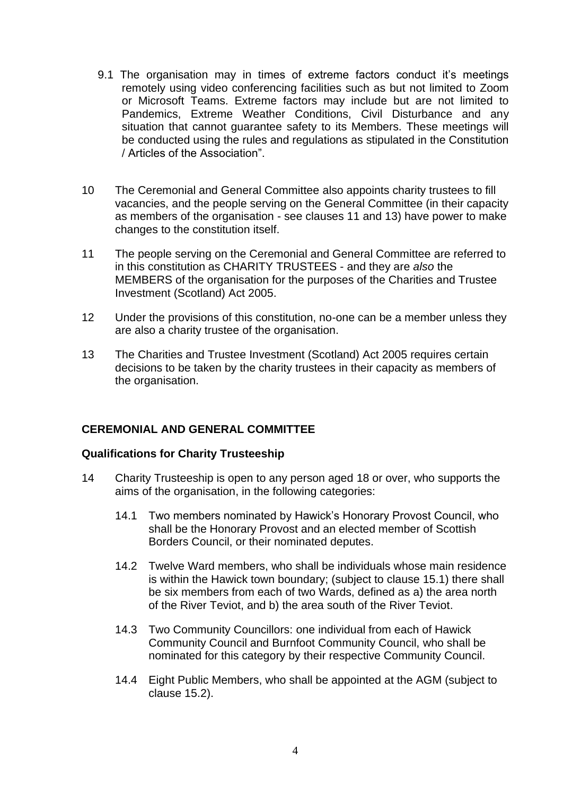- 9.1 The organisation may in times of extreme factors conduct it's meetings remotely using video conferencing facilities such as but not limited to Zoom or Microsoft Teams. Extreme factors may include but are not limited to Pandemics, Extreme Weather Conditions, Civil Disturbance and any situation that cannot guarantee safety to its Members. These meetings will be conducted using the rules and regulations as stipulated in the Constitution / Articles of the Association".
- 10 The Ceremonial and General Committee also appoints charity trustees to fill vacancies, and the people serving on the General Committee (in their capacity as members of the organisation - see clauses 11 and 13) have power to make changes to the constitution itself.
- 11 The people serving on the Ceremonial and General Committee are referred to in this constitution as CHARITY TRUSTEES - and they are *also* the MEMBERS of the organisation for the purposes of the Charities and Trustee Investment (Scotland) Act 2005.
- 12 Under the provisions of this constitution, no-one can be a member unless they are also a charity trustee of the organisation.
- 13 The Charities and Trustee Investment (Scotland) Act 2005 requires certain decisions to be taken by the charity trustees in their capacity as members of the organisation.

# **CEREMONIAL AND GENERAL COMMITTEE**

# **Qualifications for Charity Trusteeship**

- 14 Charity Trusteeship is open to any person aged 18 or over, who supports the aims of the organisation, in the following categories:
	- 14.1 Two members nominated by Hawick's Honorary Provost Council, who shall be the Honorary Provost and an elected member of Scottish Borders Council, or their nominated deputes.
	- 14.2 Twelve Ward members, who shall be individuals whose main residence is within the Hawick town boundary; (subject to clause 15.1) there shall be six members from each of two Wards, defined as a) the area north of the River Teviot, and b) the area south of the River Teviot.
	- 14.3 Two Community Councillors: one individual from each of Hawick Community Council and Burnfoot Community Council, who shall be nominated for this category by their respective Community Council.
	- 14.4 Eight Public Members, who shall be appointed at the AGM (subject to clause 15.2).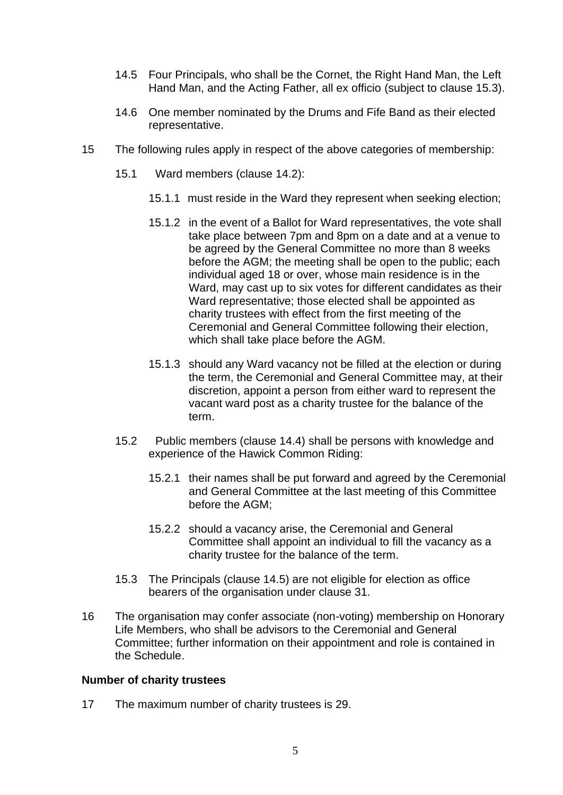- 14.5 Four Principals, who shall be the Cornet, the Right Hand Man, the Left Hand Man, and the Acting Father, all ex officio (subject to clause 15.3).
- 14.6 One member nominated by the Drums and Fife Band as their elected representative.
- 15 The following rules apply in respect of the above categories of membership:
	- 15.1 Ward members (clause 14.2):
		- 15.1.1 must reside in the Ward they represent when seeking election;
		- 15.1.2 in the event of a Ballot for Ward representatives, the vote shall take place between 7pm and 8pm on a date and at a venue to be agreed by the General Committee no more than 8 weeks before the AGM; the meeting shall be open to the public; each individual aged 18 or over, whose main residence is in the Ward, may cast up to six votes for different candidates as their Ward representative; those elected shall be appointed as charity trustees with effect from the first meeting of the Ceremonial and General Committee following their election, which shall take place before the AGM.
		- 15.1.3 should any Ward vacancy not be filled at the election or during the term, the Ceremonial and General Committee may, at their discretion, appoint a person from either ward to represent the vacant ward post as a charity trustee for the balance of the term.
	- 15.2 Public members (clause 14.4) shall be persons with knowledge and experience of the Hawick Common Riding:
		- 15.2.1 their names shall be put forward and agreed by the Ceremonial and General Committee at the last meeting of this Committee before the AGM;
		- 15.2.2 should a vacancy arise, the Ceremonial and General Committee shall appoint an individual to fill the vacancy as a charity trustee for the balance of the term.
	- 15.3 The Principals (clause 14.5) are not eligible for election as office bearers of the organisation under clause 31.
- 16 The organisation may confer associate (non-voting) membership on Honorary Life Members, who shall be advisors to the Ceremonial and General Committee; further information on their appointment and role is contained in the Schedule.

#### **Number of charity trustees**

17 The maximum number of charity trustees is 29.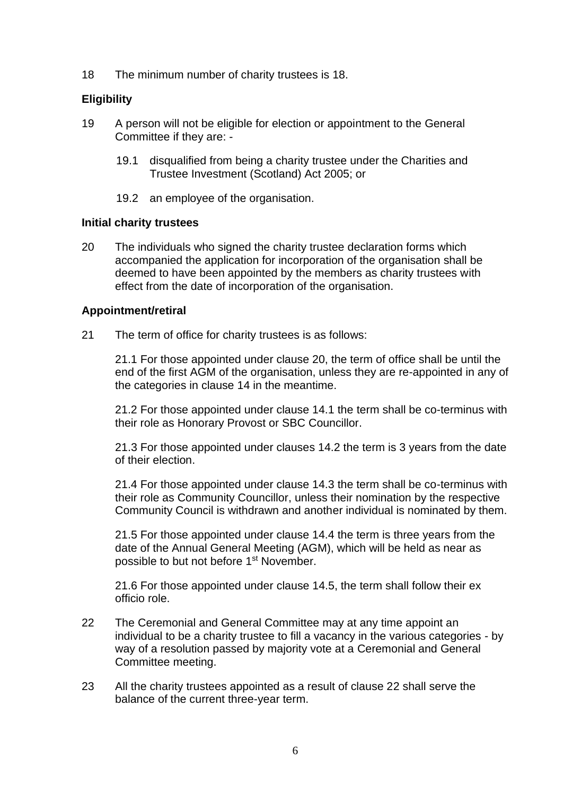18 The minimum number of charity trustees is 18.

# **Eligibility**

- 19 A person will not be eligible for election or appointment to the General Committee if they are: -
	- 19.1 disqualified from being a charity trustee under the Charities and Trustee Investment (Scotland) Act 2005; or
	- 19.2 an employee of the organisation.

#### **Initial charity trustees**

20 The individuals who signed the charity trustee declaration forms which accompanied the application for incorporation of the organisation shall be deemed to have been appointed by the members as charity trustees with effect from the date of incorporation of the organisation.

# **Appointment/retiral**

21 The term of office for charity trustees is as follows:

21.1 For those appointed under clause 20, the term of office shall be until the end of the first AGM of the organisation, unless they are re-appointed in any of the categories in clause 14 in the meantime.

21.2 For those appointed under clause 14.1 the term shall be co-terminus with their role as Honorary Provost or SBC Councillor.

21.3 For those appointed under clauses 14.2 the term is 3 years from the date of their election.

21.4 For those appointed under clause 14.3 the term shall be co-terminus with their role as Community Councillor, unless their nomination by the respective Community Council is withdrawn and another individual is nominated by them.

21.5 For those appointed under clause 14.4 the term is three years from the date of the Annual General Meeting (AGM), which will be held as near as possible to but not before 1<sup>st</sup> November.

21.6 For those appointed under clause 14.5, the term shall follow their ex officio role.

- 22 The Ceremonial and General Committee may at any time appoint an individual to be a charity trustee to fill a vacancy in the various categories - by way of a resolution passed by majority vote at a Ceremonial and General Committee meeting.
- 23 All the charity trustees appointed as a result of clause 22 shall serve the balance of the current three-year term.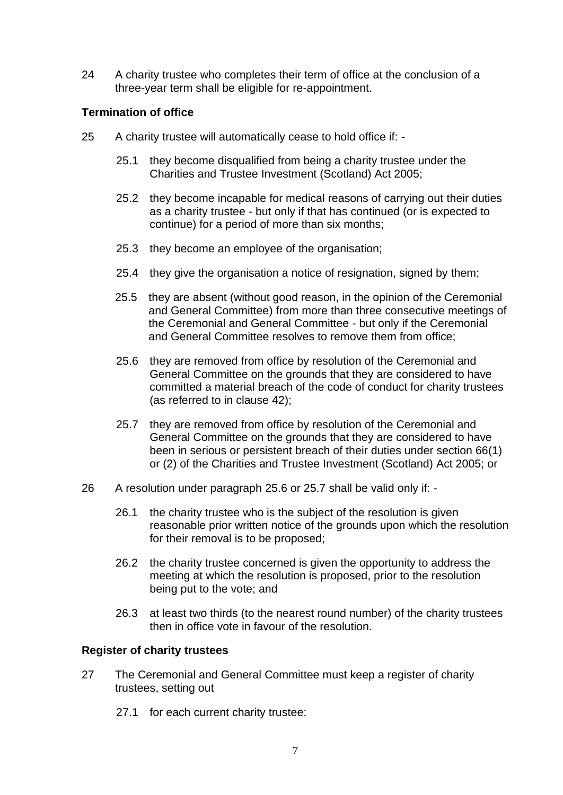24 A charity trustee who completes their term of office at the conclusion of a three-year term shall be eligible for re-appointment.

# **Termination of office**

- 25 A charity trustee will automatically cease to hold office if:
	- 25.1 they become disqualified from being a charity trustee under the Charities and Trustee Investment (Scotland) Act 2005;
	- 25.2 they become incapable for medical reasons of carrying out their duties as a charity trustee - but only if that has continued (or is expected to continue) for a period of more than six months;
	- 25.3 they become an employee of the organisation;
	- 25.4 they give the organisation a notice of resignation, signed by them;
	- 25.5 they are absent (without good reason, in the opinion of the Ceremonial and General Committee) from more than three consecutive meetings of the Ceremonial and General Committee - but only if the Ceremonial and General Committee resolves to remove them from office;
	- 25.6 they are removed from office by resolution of the Ceremonial and General Committee on the grounds that they are considered to have committed a material breach of the code of conduct for charity trustees (as referred to in clause 42);
	- 25.7 they are removed from office by resolution of the Ceremonial and General Committee on the grounds that they are considered to have been in serious or persistent breach of their duties under section 66(1) or (2) of the Charities and Trustee Investment (Scotland) Act 2005; or
- 26 A resolution under paragraph 25.6 or 25.7 shall be valid only if:
	- 26.1 the charity trustee who is the subject of the resolution is given reasonable prior written notice of the grounds upon which the resolution for their removal is to be proposed;
	- 26.2 the charity trustee concerned is given the opportunity to address the meeting at which the resolution is proposed, prior to the resolution being put to the vote; and
	- 26.3 at least two thirds (to the nearest round number) of the charity trustees then in office vote in favour of the resolution.

# **Register of charity trustees**

- 27 The Ceremonial and General Committee must keep a register of charity trustees, setting out
	- 27.1 for each current charity trustee: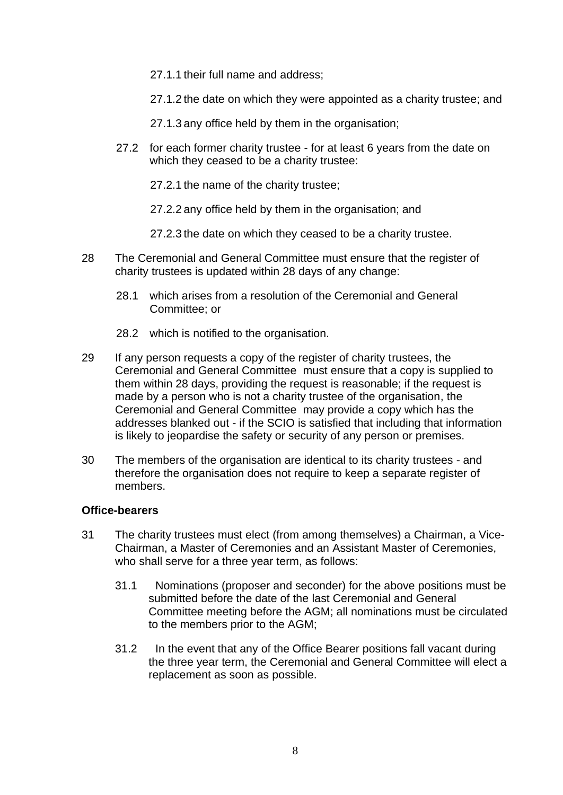27.1.1 their full name and address;

27.1.2 the date on which they were appointed as a charity trustee; and

27.1.3 any office held by them in the organisation;

27.2 for each former charity trustee - for at least 6 years from the date on which they ceased to be a charity trustee:

27.2.1 the name of the charity trustee;

27.2.2 any office held by them in the organisation; and

27.2.3 the date on which they ceased to be a charity trustee.

- 28 The Ceremonial and General Committee must ensure that the register of charity trustees is updated within 28 days of any change:
	- 28.1 which arises from a resolution of the Ceremonial and General Committee; or
	- 28.2 which is notified to the organisation.
- 29 If any person requests a copy of the register of charity trustees, the Ceremonial and General Committee must ensure that a copy is supplied to them within 28 days, providing the request is reasonable; if the request is made by a person who is not a charity trustee of the organisation, the Ceremonial and General Committee may provide a copy which has the addresses blanked out - if the SCIO is satisfied that including that information is likely to jeopardise the safety or security of any person or premises.
- 30 The members of the organisation are identical to its charity trustees and therefore the organisation does not require to keep a separate register of members.

# **Office-bearers**

- 31 The charity trustees must elect (from among themselves) a Chairman, a Vice-Chairman, a Master of Ceremonies and an Assistant Master of Ceremonies, who shall serve for a three year term, as follows:
	- 31.1 Nominations (proposer and seconder) for the above positions must be submitted before the date of the last Ceremonial and General Committee meeting before the AGM; all nominations must be circulated to the members prior to the AGM;
	- 31.2 In the event that any of the Office Bearer positions fall vacant during the three year term, the Ceremonial and General Committee will elect a replacement as soon as possible.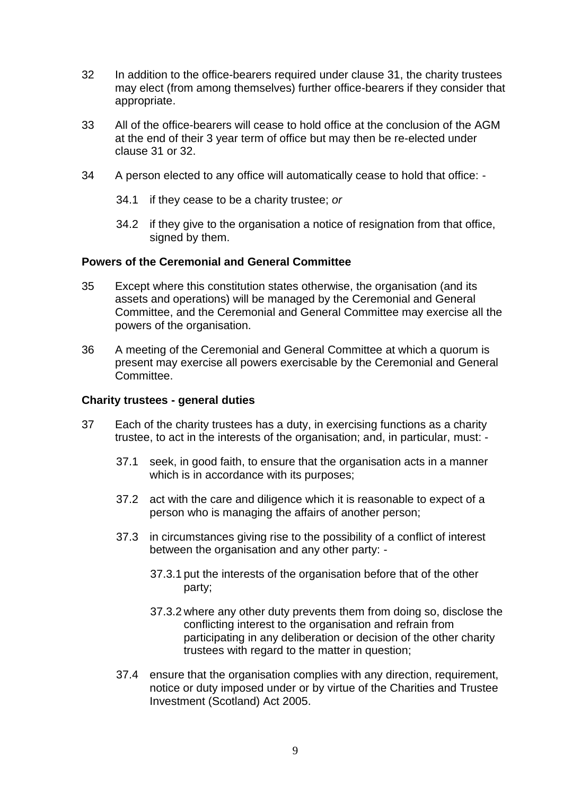- 32 In addition to the office-bearers required under clause 31, the charity trustees may elect (from among themselves) further office-bearers if they consider that appropriate.
- 33 All of the office-bearers will cease to hold office at the conclusion of the AGM at the end of their 3 year term of office but may then be re-elected under clause 31 or 32.
- 34 A person elected to any office will automatically cease to hold that office:
	- 34.1 if they cease to be a charity trustee; *or*
	- 34.2 if they give to the organisation a notice of resignation from that office, signed by them.

#### **Powers of the Ceremonial and General Committee**

- 35 Except where this constitution states otherwise, the organisation (and its assets and operations) will be managed by the Ceremonial and General Committee, and the Ceremonial and General Committee may exercise all the powers of the organisation.
- 36 A meeting of the Ceremonial and General Committee at which a quorum is present may exercise all powers exercisable by the Ceremonial and General Committee.

#### **Charity trustees - general duties**

- 37 Each of the charity trustees has a duty, in exercising functions as a charity trustee, to act in the interests of the organisation; and, in particular, must: -
	- 37.1 seek, in good faith, to ensure that the organisation acts in a manner which is in accordance with its purposes;
	- 37.2 act with the care and diligence which it is reasonable to expect of a person who is managing the affairs of another person;
	- 37.3 in circumstances giving rise to the possibility of a conflict of interest between the organisation and any other party: -
		- 37.3.1 put the interests of the organisation before that of the other party;
		- 37.3.2 where any other duty prevents them from doing so, disclose the conflicting interest to the organisation and refrain from participating in any deliberation or decision of the other charity trustees with regard to the matter in question;
	- 37.4 ensure that the organisation complies with any direction, requirement, notice or duty imposed under or by virtue of the Charities and Trustee Investment (Scotland) Act 2005.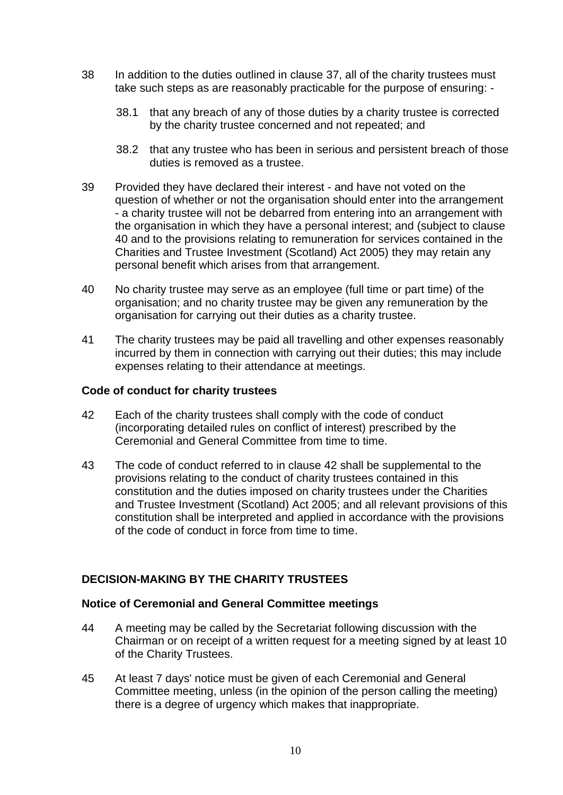- 38 In addition to the duties outlined in clause 37, all of the charity trustees must take such steps as are reasonably practicable for the purpose of ensuring: -
	- 38.1 that any breach of any of those duties by a charity trustee is corrected by the charity trustee concerned and not repeated; and
	- 38.2 that any trustee who has been in serious and persistent breach of those duties is removed as a trustee.
- 39 Provided they have declared their interest and have not voted on the question of whether or not the organisation should enter into the arrangement - a charity trustee will not be debarred from entering into an arrangement with the organisation in which they have a personal interest; and (subject to clause 40 and to the provisions relating to remuneration for services contained in the Charities and Trustee Investment (Scotland) Act 2005) they may retain any personal benefit which arises from that arrangement.
- 40 No charity trustee may serve as an employee (full time or part time) of the organisation; and no charity trustee may be given any remuneration by the organisation for carrying out their duties as a charity trustee.
- 41 The charity trustees may be paid all travelling and other expenses reasonably incurred by them in connection with carrying out their duties; this may include expenses relating to their attendance at meetings.

#### **Code of conduct for charity trustees**

- 42 Each of the charity trustees shall comply with the code of conduct (incorporating detailed rules on conflict of interest) prescribed by the Ceremonial and General Committee from time to time.
- 43 The code of conduct referred to in clause 42 shall be supplemental to the provisions relating to the conduct of charity trustees contained in this constitution and the duties imposed on charity trustees under the Charities and Trustee Investment (Scotland) Act 2005; and all relevant provisions of this constitution shall be interpreted and applied in accordance with the provisions of the code of conduct in force from time to time.

# **DECISION-MAKING BY THE CHARITY TRUSTEES**

# **Notice of Ceremonial and General Committee meetings**

- 44 A meeting may be called by the Secretariat following discussion with the Chairman or on receipt of a written request for a meeting signed by at least 10 of the Charity Trustees.
- 45 At least 7 days' notice must be given of each Ceremonial and General Committee meeting, unless (in the opinion of the person calling the meeting) there is a degree of urgency which makes that inappropriate.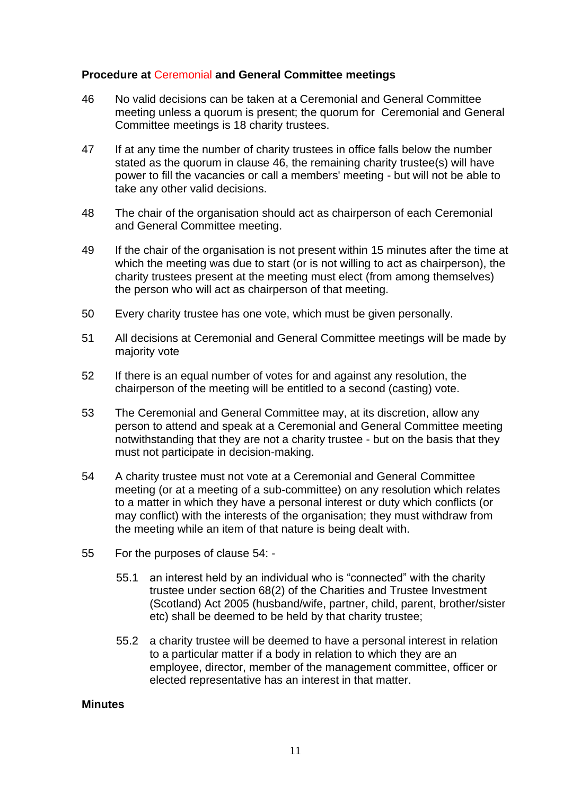# **Procedure at** Ceremonial **and General Committee meetings**

- 46 No valid decisions can be taken at a Ceremonial and General Committee meeting unless a quorum is present; the quorum for Ceremonial and General Committee meetings is 18 charity trustees.
- 47 If at any time the number of charity trustees in office falls below the number stated as the quorum in clause 46, the remaining charity trustee(s) will have power to fill the vacancies or call a members' meeting - but will not be able to take any other valid decisions.
- 48 The chair of the organisation should act as chairperson of each Ceremonial and General Committee meeting.
- 49 If the chair of the organisation is not present within 15 minutes after the time at which the meeting was due to start (or is not willing to act as chairperson), the charity trustees present at the meeting must elect (from among themselves) the person who will act as chairperson of that meeting.
- 50 Every charity trustee has one vote, which must be given personally.
- 51 All decisions at Ceremonial and General Committee meetings will be made by majority vote
- 52 If there is an equal number of votes for and against any resolution, the chairperson of the meeting will be entitled to a second (casting) vote.
- 53 The Ceremonial and General Committee may, at its discretion, allow any person to attend and speak at a Ceremonial and General Committee meeting notwithstanding that they are not a charity trustee - but on the basis that they must not participate in decision-making.
- 54 A charity trustee must not vote at a Ceremonial and General Committee meeting (or at a meeting of a sub-committee) on any resolution which relates to a matter in which they have a personal interest or duty which conflicts (or may conflict) with the interests of the organisation; they must withdraw from the meeting while an item of that nature is being dealt with.
- 55 For the purposes of clause 54:
	- 55.1 an interest held by an individual who is "connected" with the charity trustee under section 68(2) of the Charities and Trustee Investment (Scotland) Act 2005 (husband/wife, partner, child, parent, brother/sister etc) shall be deemed to be held by that charity trustee;
	- 55.2 a charity trustee will be deemed to have a personal interest in relation to a particular matter if a body in relation to which they are an employee, director, member of the management committee, officer or elected representative has an interest in that matter.

#### **Minutes**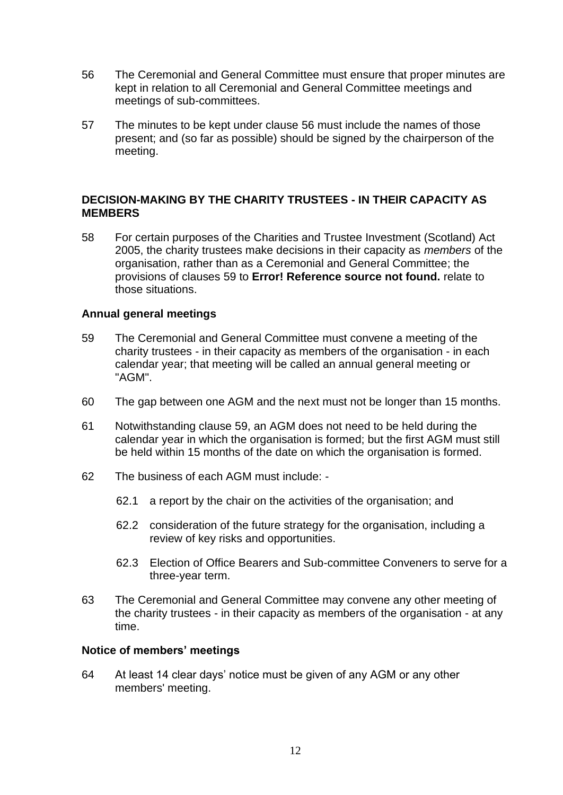- 56 The Ceremonial and General Committee must ensure that proper minutes are kept in relation to all Ceremonial and General Committee meetings and meetings of sub-committees.
- 57 The minutes to be kept under clause 56 must include the names of those present; and (so far as possible) should be signed by the chairperson of the meeting.

# **DECISION-MAKING BY THE CHARITY TRUSTEES - IN THEIR CAPACITY AS MEMBERS**

58 For certain purposes of the Charities and Trustee Investment (Scotland) Act 2005, the charity trustees make decisions in their capacity as *members* of the organisation, rather than as a Ceremonial and General Committee; the provisions of clauses 59 to **Error! Reference source not found.** relate to those situations.

# **Annual general meetings**

- 59 The Ceremonial and General Committee must convene a meeting of the charity trustees - in their capacity as members of the organisation - in each calendar year; that meeting will be called an annual general meeting or "AGM".
- 60 The gap between one AGM and the next must not be longer than 15 months.
- 61 Notwithstanding clause 59, an AGM does not need to be held during the calendar year in which the organisation is formed; but the first AGM must still be held within 15 months of the date on which the organisation is formed.
- 62 The business of each AGM must include:
	- 62.1 a report by the chair on the activities of the organisation; and
	- 62.2 consideration of the future strategy for the organisation, including a review of key risks and opportunities.
	- 62.3 Election of Office Bearers and Sub-committee Conveners to serve for a three-year term.
- 63 The Ceremonial and General Committee may convene any other meeting of the charity trustees - in their capacity as members of the organisation - at any time.

#### **Notice of members' meetings**

64 At least 14 clear days' notice must be given of any AGM or any other members' meeting.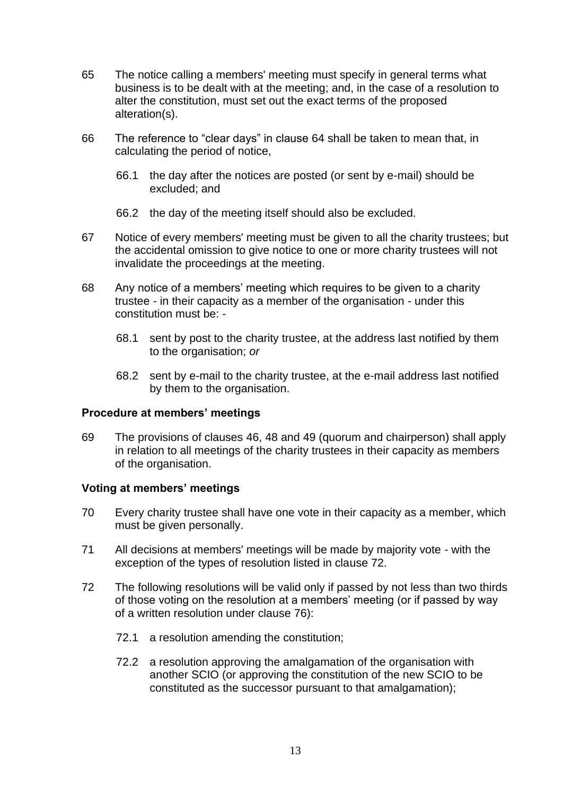- 65 The notice calling a members' meeting must specify in general terms what business is to be dealt with at the meeting; and, in the case of a resolution to alter the constitution, must set out the exact terms of the proposed alteration(s).
- 66 The reference to "clear days" in clause 64 shall be taken to mean that, in calculating the period of notice,
	- 66.1 the day after the notices are posted (or sent by e-mail) should be excluded; and
	- 66.2 the day of the meeting itself should also be excluded.
- 67 Notice of every members' meeting must be given to all the charity trustees; but the accidental omission to give notice to one or more charity trustees will not invalidate the proceedings at the meeting.
- 68 Any notice of a members' meeting which requires to be given to a charity trustee - in their capacity as a member of the organisation - under this constitution must be: -
	- 68.1 sent by post to the charity trustee, at the address last notified by them to the organisation; *or*
	- 68.2 sent by e-mail to the charity trustee, at the e-mail address last notified by them to the organisation.

# **Procedure at members' meetings**

69 The provisions of clauses 46, 48 and 49 (quorum and chairperson) shall apply in relation to all meetings of the charity trustees in their capacity as members of the organisation.

# **Voting at members' meetings**

- 70 Every charity trustee shall have one vote in their capacity as a member, which must be given personally.
- 71 All decisions at members' meetings will be made by majority vote with the exception of the types of resolution listed in clause 72.
- 72 The following resolutions will be valid only if passed by not less than two thirds of those voting on the resolution at a members' meeting (or if passed by way of a written resolution under clause 76):
	- 72.1 a resolution amending the constitution;
	- 72.2 a resolution approving the amalgamation of the organisation with another SCIO (or approving the constitution of the new SCIO to be constituted as the successor pursuant to that amalgamation);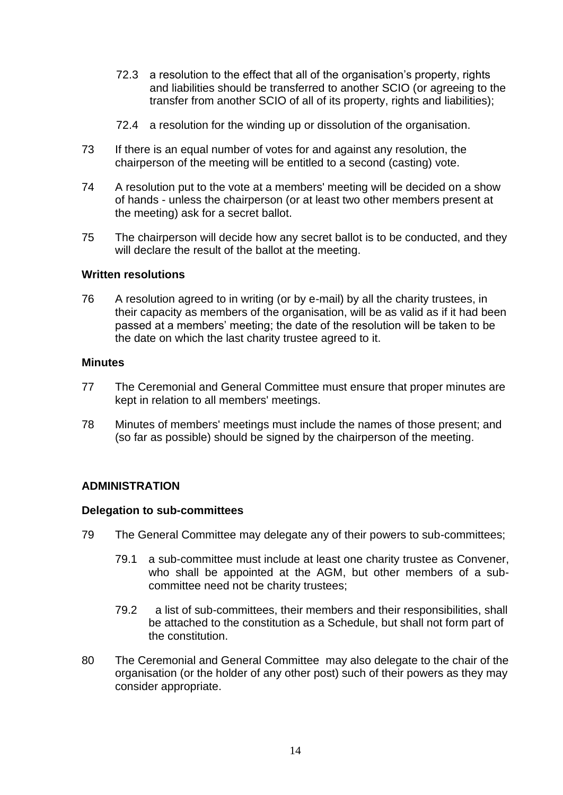- 72.3 a resolution to the effect that all of the organisation's property, rights and liabilities should be transferred to another SCIO (or agreeing to the transfer from another SCIO of all of its property, rights and liabilities);
- 72.4 a resolution for the winding up or dissolution of the organisation.
- 73 If there is an equal number of votes for and against any resolution, the chairperson of the meeting will be entitled to a second (casting) vote.
- 74 A resolution put to the vote at a members' meeting will be decided on a show of hands - unless the chairperson (or at least two other members present at the meeting) ask for a secret ballot.
- 75 The chairperson will decide how any secret ballot is to be conducted, and they will declare the result of the ballot at the meeting.

#### **Written resolutions**

76 A resolution agreed to in writing (or by e-mail) by all the charity trustees, in their capacity as members of the organisation, will be as valid as if it had been passed at a members' meeting; the date of the resolution will be taken to be the date on which the last charity trustee agreed to it.

#### **Minutes**

- 77 The Ceremonial and General Committee must ensure that proper minutes are kept in relation to all members' meetings.
- 78 Minutes of members' meetings must include the names of those present; and (so far as possible) should be signed by the chairperson of the meeting.

# **ADMINISTRATION**

#### **Delegation to sub-committees**

- 79 The General Committee may delegate any of their powers to sub-committees;
	- 79.1 a sub-committee must include at least one charity trustee as Convener, who shall be appointed at the AGM, but other members of a subcommittee need not be charity trustees;
	- 79.2 a list of sub-committees, their members and their responsibilities, shall be attached to the constitution as a Schedule, but shall not form part of the constitution.
- 80 The Ceremonial and General Committee may also delegate to the chair of the organisation (or the holder of any other post) such of their powers as they may consider appropriate.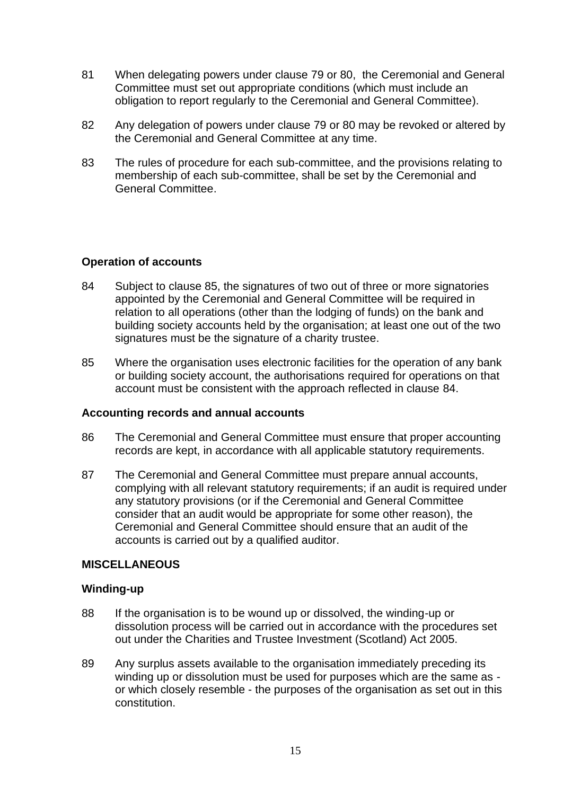- 81 When delegating powers under clause 79 or 80, the Ceremonial and General Committee must set out appropriate conditions (which must include an obligation to report regularly to the Ceremonial and General Committee).
- 82 Any delegation of powers under clause 79 or 80 may be revoked or altered by the Ceremonial and General Committee at any time.
- 83 The rules of procedure for each sub-committee, and the provisions relating to membership of each sub-committee, shall be set by the Ceremonial and General Committee.

# **Operation of accounts**

- 84 Subject to clause 85, the signatures of two out of three or more signatories appointed by the Ceremonial and General Committee will be required in relation to all operations (other than the lodging of funds) on the bank and building society accounts held by the organisation; at least one out of the two signatures must be the signature of a charity trustee.
- 85 Where the organisation uses electronic facilities for the operation of any bank or building society account, the authorisations required for operations on that account must be consistent with the approach reflected in clause 84.

# **Accounting records and annual accounts**

- 86 The Ceremonial and General Committee must ensure that proper accounting records are kept, in accordance with all applicable statutory requirements.
- 87 The Ceremonial and General Committee must prepare annual accounts, complying with all relevant statutory requirements; if an audit is required under any statutory provisions (or if the Ceremonial and General Committee consider that an audit would be appropriate for some other reason), the Ceremonial and General Committee should ensure that an audit of the accounts is carried out by a qualified auditor.

# **MISCELLANEOUS**

#### **Winding-up**

- 88 If the organisation is to be wound up or dissolved, the winding-up or dissolution process will be carried out in accordance with the procedures set out under the Charities and Trustee Investment (Scotland) Act 2005.
- 89 Any surplus assets available to the organisation immediately preceding its winding up or dissolution must be used for purposes which are the same as or which closely resemble - the purposes of the organisation as set out in this constitution.